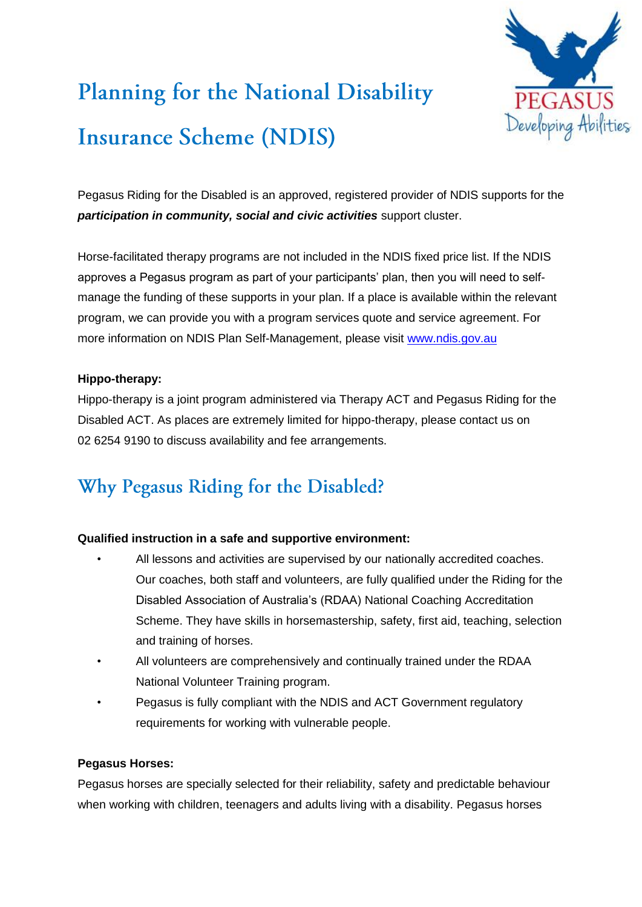

# **Planning for the National Disability Insurance Scheme (NDIS)**

Pegasus Riding for the Disabled is an approved, registered provider of NDIS supports for the *participation in community, social and civic activities* support cluster.

Horse-facilitated therapy programs are not included in the NDIS fixed price list. If the NDIS approves a Pegasus program as part of your participants' plan, then you will need to selfmanage the funding of these supports in your plan. If a place is available within the relevant program, we can provide you with a program services quote and service agreement. For more information on NDIS Plan Self-Management, please visit [www.ndis.gov.au](http://www.ndis.gov.au/)

### **Hippo-therapy:**

Hippo-therapy is a joint program administered via Therapy ACT and Pegasus Riding for the Disabled ACT. As places are extremely limited for hippo-therapy, please contact us on 02 6254 9190 to discuss availability and fee arrangements.

# Why Pegasus Riding for the Disabled?

## **Qualified instruction in a safe and supportive environment:**

- All lessons and activities are supervised by our nationally accredited coaches. Our coaches, both staff and volunteers, are fully qualified under the Riding for the Disabled Association of Australia's (RDAA) National Coaching Accreditation Scheme. They have skills in horsemastership, safety, first aid, teaching, selection and training of horses.
- All volunteers are comprehensively and continually trained under the RDAA National Volunteer Training program.
- Pegasus is fully compliant with the NDIS and ACT Government regulatory requirements for working with vulnerable people.

### **Pegasus Horses:**

Pegasus horses are specially selected for their reliability, safety and predictable behaviour when working with children, teenagers and adults living with a disability. Pegasus horses